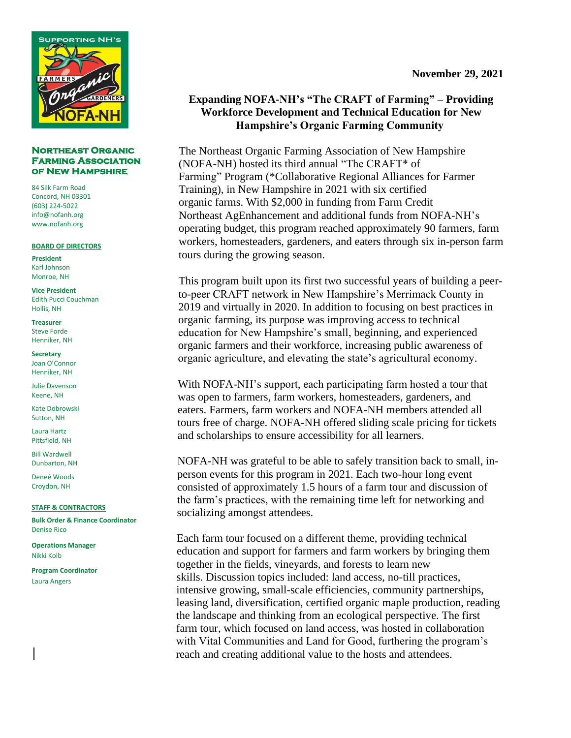

#### **Northeast Organic Farming Association of New Hampshire**

84 Silk Farm Road Concord, NH 03301 (603) 224-5022 info@nofanh.org www.nofanh.org

#### **BOARD OF DIRECTORS**

**President** Karl Johnson Monroe, NH

**Vice President** Edith Pucci Couchman Hollis, NH

**Treasurer** Steve Forde Henniker, NH

**Secretary** Joan O'Connor Henniker, NH

Julie Davenson Keene, NH

Kate Dobrowski Sutton, NH

Laura Hartz Pittsfield, NH

Bill Wardwell Dunbarton, NH

Deneé Woods Croydon, NH

**STAFF & CONTRACTORS**

**Bulk Order & Finance Coordinator** Denise Rico

**Operations Manager** Nikki Kolb

**Program Coordinator** Laura Angers

# **Expanding NOFA-NH's "The CRAFT of Farming" – Providing Workforce Development and Technical Education for New Hampshire's Organic Farming Community**

The Northeast Organic Farming Association of New Hampshire (NOFA-NH) hosted its third annual "The CRAFT\* of Farming" Program (\*Collaborative Regional Alliances for Farmer Training), in New Hampshire in 2021 with six certified organic farms. With \$2,000 in funding from Farm Credit Northeast AgEnhancement and additional funds from NOFA-NH's operating budget, this program reached approximately 90 farmers, farm workers, homesteaders, gardeners, and eaters through six in-person farm tours during the growing season.

This program built upon its first two successful years of building a peerto-peer CRAFT network in New Hampshire's Merrimack County in 2019 and virtually in 2020. In addition to focusing on best practices in organic farming, its purpose was improving access to technical education for New Hampshire's small, beginning, and experienced organic farmers and their workforce, increasing public awareness of organic agriculture, and elevating the state's agricultural economy.

With NOFA-NH's support, each participating farm hosted a tour that was open to farmers, farm workers, homesteaders, gardeners, and eaters. Farmers, farm workers and NOFA-NH members attended all tours free of charge. NOFA-NH offered sliding scale pricing for tickets and scholarships to ensure accessibility for all learners.

NOFA-NH was grateful to be able to safely transition back to small, inperson events for this program in 2021. Each two-hour long event consisted of approximately 1.5 hours of a farm tour and discussion of the farm's practices, with the remaining time left for networking and socializing amongst attendees.

Each farm tour focused on a different theme, providing technical education and support for farmers and farm workers by bringing them together in the fields, vineyards, and forests to learn new skills. Discussion topics included: land access, no-till practices, intensive growing, small-scale efficiencies, community partnerships, leasing land, diversification, certified organic maple production, reading the landscape and thinking from an ecological perspective. The first farm tour, which focused on land access, was hosted in collaboration with Vital Communities and Land for Good, furthering the program's reach and creating additional value to the hosts and attendees.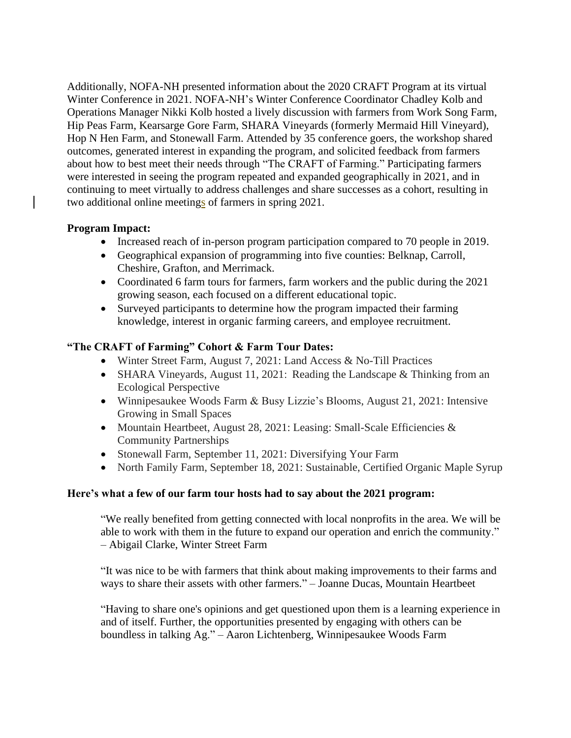Additionally, NOFA-NH presented information about the 2020 CRAFT Program at its virtual Winter Conference in 2021. NOFA-NH's Winter Conference Coordinator Chadley Kolb and Operations Manager Nikki Kolb hosted a lively discussion with farmers from Work Song Farm, Hip Peas Farm, Kearsarge Gore Farm, SHARA Vineyards (formerly Mermaid Hill Vineyard), Hop N Hen Farm, and Stonewall Farm. Attended by 35 conference goers, the workshop shared outcomes, generated interest in expanding the program, and solicited feedback from farmers about how to best meet their needs through "The CRAFT of Farming." Participating farmers were interested in seeing the program repeated and expanded geographically in 2021, and in continuing to meet virtually to address challenges and share successes as a cohort, resulting in two additional online meetings of farmers in spring 2021.

## **Program Impact:**

- Increased reach of in-person program participation compared to 70 people in 2019.
- Geographical expansion of programming into five counties: Belknap, Carroll, Cheshire, Grafton, and Merrimack.
- Coordinated 6 farm tours for farmers, farm workers and the public during the 2021 growing season, each focused on a different educational topic.
- Surveyed participants to determine how the program impacted their farming knowledge, interest in organic farming careers, and employee recruitment.

### **"The CRAFT of Farming" Cohort & Farm Tour Dates:**

- Winter Street Farm, August 7, 2021: Land Access & No-Till Practices
- SHARA Vineyards, August 11, 2021: Reading the Landscape & Thinking from an Ecological Perspective
- Winnipesaukee Woods Farm & Busy Lizzie's Blooms, August 21, 2021: Intensive Growing in Small Spaces
- Mountain Heartbeet, August 28, 2021: Leasing: Small-Scale Efficiencies & Community Partnerships
- Stonewall Farm, September 11, 2021: Diversifying Your Farm
- North Family Farm, September 18, 2021: Sustainable, Certified Organic Maple Syrup

#### **Here's what a few of our farm tour hosts had to say about the 2021 program:**

"We really benefited from getting connected with local nonprofits in the area. We will be able to work with them in the future to expand our operation and enrich the community." – Abigail Clarke, Winter Street Farm

"It was nice to be with farmers that think about making improvements to their farms and ways to share their assets with other farmers." – Joanne Ducas, Mountain Heartbeet

"Having to share one's opinions and get questioned upon them is a learning experience in and of itself. Further, the opportunities presented by engaging with others can be boundless in talking Ag." – Aaron Lichtenberg, Winnipesaukee Woods Farm